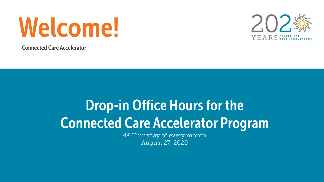

**Connected Care Accelerator** 



## **Drop-in Office Hours for the Connected Care Accelerator Program**

4<sup>th</sup> Thursday of every month August 27, 2020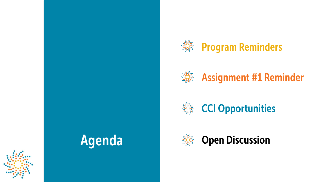







**Assignment #1 Reminder** 





**Open Discussion**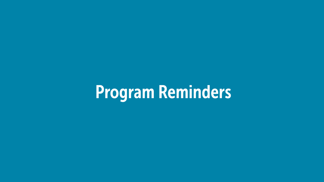# **Program Reminders**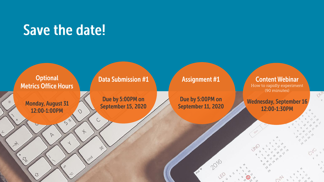## **Save the date!**

 $\circ$ 

C

 $\delta$ 

cmd

 $58$ 

**Optional Metrics Office Hours** 

**Monday, August 31** 12:00-1:00PM

 $\triangleright$ 

h's

w

## **Data Submission #1**

Due by 5:00PM on September 15, 2020

## **Assignment #1**

Due by 5:00PM on September 11, 2020

2016

## **Content Webinar**

How to rapidly experiment (90 minutes)

 $O_{2k}$ 

 $\alpha_{\rm A}$ 

nN.

**Wednesday, September 16** 12:00-1:30PM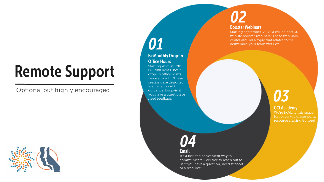# **Remote Support**

Optional but highly encouraged



**Bi-Monthly Drop-in Office Hours** 

01

Starting August 27th CCI will host 1-hour drop-in office hours twice a month. These sessions are designed to offer support & guidance. Drop-in if you have a question or need feedback!

### **Booster Webinars**

Starting September 3rd, CCI will be host 30 minute booster webinars. These webinars center around a topic that relates to the deliverable your team work on.

# 03

## **CCI Academy**

## 04

### **Email**

It's a fast and convenient way to communicate. Feel free to reach out to us if you have a question, need support or a resource!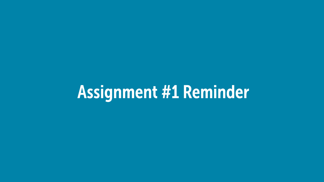# Assignment #1 Reminder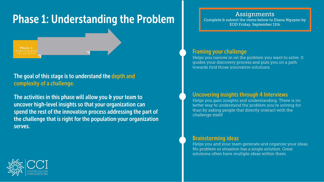## **Phase 1: Understanding the Problem**

Phase 1 U n d e r s t a n d i

The goal of this stage is to understand the depth and complexity of a challenge.

The activities in this phase will allow you & your team to uncover high-level insights so that your organization can spend the rest of the innovation process addressing the part of the challenge that is right for the population your organization serves.

## **Assignments**

Complete & submit the items below to Diana Nguyen by EOD Friday, September 11th

### **Framing your challenge**

Helps you narrow in on the problem you want to solve. It guides your discovery process and puts you on a path towards find those innovative solutions.

### **Uncovering insights through 4 Interviews**

Helps you gain insights and understanding. There is no better way to understand the problem you're solving for than by asking people that directly interact with the challenge itself!

### **Brainstorming ideas**

Helps you and your team generate and organize your ideas. No problem or situation has a single solution. Great solutions often have multiple ideas within them.

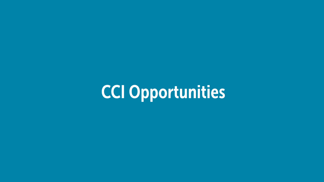**CCI Opportunities**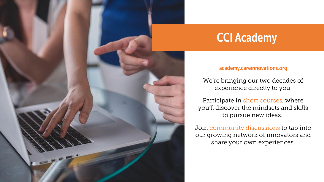

## **CCI Academy**

## academy.careinnovations.org

We're bringing our two decades of experience directly to you.

Participate in short courses, where you'll discover the mindsets and skills to pursue new ideas.

Join community discussions to tap into our growing network of innovators and share your own experiences.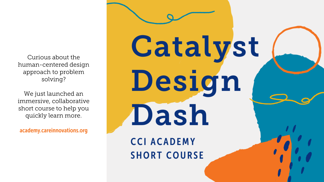Curious about the human-centered design approach to problem solving?

We just launched an immersive, collaborative short course to help you quickly learn more.

academy.careinnovations.org

Catalyst Design Dash **CCI ACADEMY SHORT COURSE**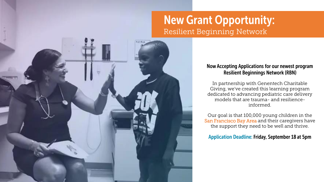## **New Grant Opportunity:** Resilient Beginning Network

### Now Accepting Applications for our newest program **Resilient Beginnings Network (RBN)**

In partnership with Genentech Charitable Giving, we've created this learning program dedicated to advancing pediatric care delivery models that are trauma- and resilienceinformed.

Our goal is that 100,000 young children in the San Francisco Bay Area and their caregivers have the support they need to be well and thrive.

**Application Deadline: Friday, September 18 at 5pm**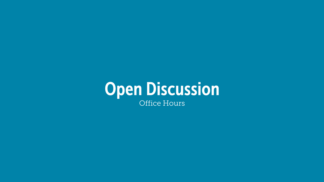